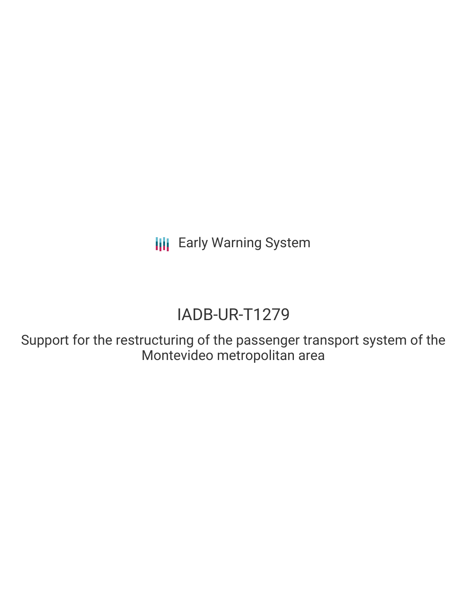**III** Early Warning System

# IADB-UR-T1279

Support for the restructuring of the passenger transport system of the Montevideo metropolitan area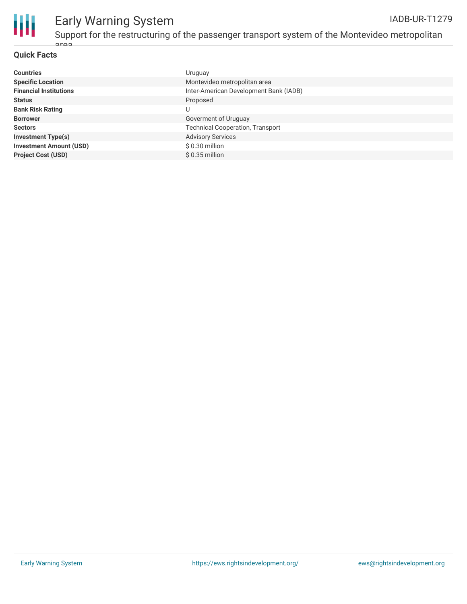

# **Quick Facts**

area

| <b>Countries</b>               | Uruguay                                 |
|--------------------------------|-----------------------------------------|
| <b>Specific Location</b>       | Montevideo metropolitan area            |
| <b>Financial Institutions</b>  | Inter-American Development Bank (IADB)  |
| <b>Status</b>                  | Proposed                                |
| <b>Bank Risk Rating</b>        |                                         |
| <b>Borrower</b>                | Goverment of Uruguay                    |
| <b>Sectors</b>                 | <b>Technical Cooperation, Transport</b> |
| <b>Investment Type(s)</b>      | <b>Advisory Services</b>                |
| <b>Investment Amount (USD)</b> | \$0.30 million                          |
| <b>Project Cost (USD)</b>      | $$0.35$ million                         |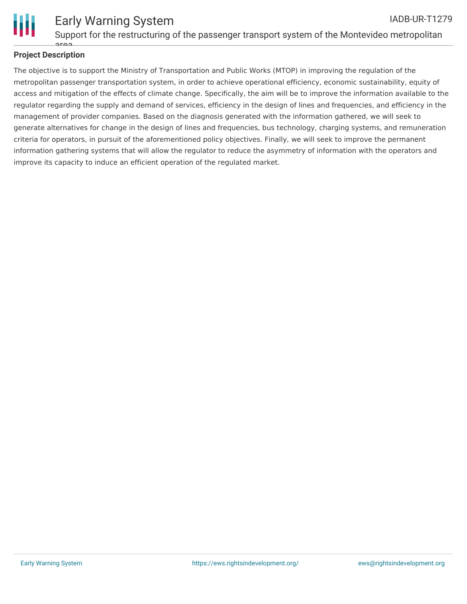

## **Project Description** araa

The objective is to support the Ministry of Transportation and Public Works (MTOP) in improving the regulation of the metropolitan passenger transportation system, in order to achieve operational efficiency, economic sustainability, equity of access and mitigation of the effects of climate change. Specifically, the aim will be to improve the information available to the regulator regarding the supply and demand of services, efficiency in the design of lines and frequencies, and efficiency in the management of provider companies. Based on the diagnosis generated with the information gathered, we will seek to generate alternatives for change in the design of lines and frequencies, bus technology, charging systems, and remuneration criteria for operators, in pursuit of the aforementioned policy objectives. Finally, we will seek to improve the permanent information gathering systems that will allow the regulator to reduce the asymmetry of information with the operators and improve its capacity to induce an efficient operation of the regulated market.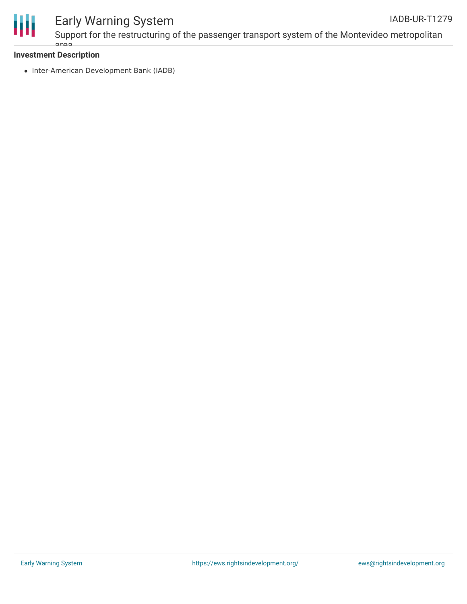

#### Early Warning System Support for the restructuring of the passenger transport system of the Montevideo metropolitan IADB-UR-T1279

## **Investment Description**

area

• Inter-American Development Bank (IADB)